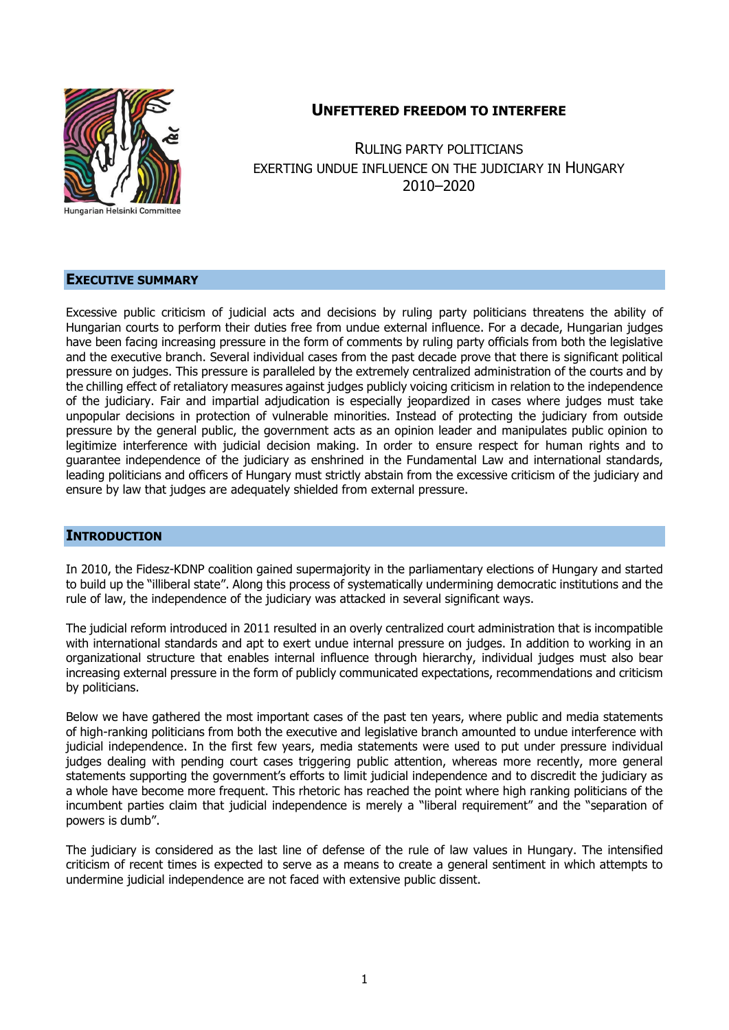

# **UNFETTERED FREEDOM TO INTERFERE**

RULING PARTY POLITICIANS EXERTING UNDUE INFLUENCE ON THE JUDICIARY IN HUNGARY 2010–2020

# **EXECUTIVE SUMMARY**

Excessive public criticism of judicial acts and decisions by ruling party politicians threatens the ability of Hungarian courts to perform their duties free from undue external influence. For a decade, Hungarian judges have been facing increasing pressure in the form of comments by ruling party officials from both the legislative and the executive branch. Several individual cases from the past decade prove that there is significant political pressure on judges. This pressure is paralleled by the extremely centralized administration of the courts and by the chilling effect of retaliatory measures against judges publicly voicing criticism in relation to the independence of the judiciary. Fair and impartial adjudication is especially jeopardized in cases where judges must take unpopular decisions in protection of vulnerable minorities. Instead of protecting the judiciary from outside pressure by the general public, the government acts as an opinion leader and manipulates public opinion to legitimize interference with judicial decision making. In order to ensure respect for human rights and to guarantee independence of the judiciary as enshrined in the Fundamental Law and international standards, leading politicians and officers of Hungary must strictly abstain from the excessive criticism of the judiciary and ensure by law that judges are adequately shielded from external pressure.

#### **INTRODUCTION**

In 2010, the Fidesz-KDNP coalition gained supermajority in the parliamentary elections of Hungary and started to build up the "illiberal state". Along this process of systematically undermining democratic institutions and the rule of law, the independence of the judiciary was attacked in several significant ways.

The judicial reform introduced in 2011 resulted in an overly centralized court administration that is incompatible with international standards and apt to exert undue internal pressure on judges. In addition to working in an organizational structure that enables internal influence through hierarchy, individual judges must also bear increasing external pressure in the form of publicly communicated expectations, recommendations and criticism by politicians.

Below we have gathered the most important cases of the past ten years, where public and media statements of high-ranking politicians from both the executive and legislative branch amounted to undue interference with judicial independence. In the first few years, media statements were used to put under pressure individual judges dealing with pending court cases triggering public attention, whereas more recently, more general statements supporting the government's efforts to limit judicial independence and to discredit the judiciary as a whole have become more frequent. This rhetoric has reached the point where high ranking politicians of the incumbent parties claim that judicial independence is merely a "liberal requirement" and the "separation of powers is dumb".

The judiciary is considered as the last line of defense of the rule of law values in Hungary. The intensified criticism of recent times is expected to serve as a means to create a general sentiment in which attempts to undermine judicial independence are not faced with extensive public dissent.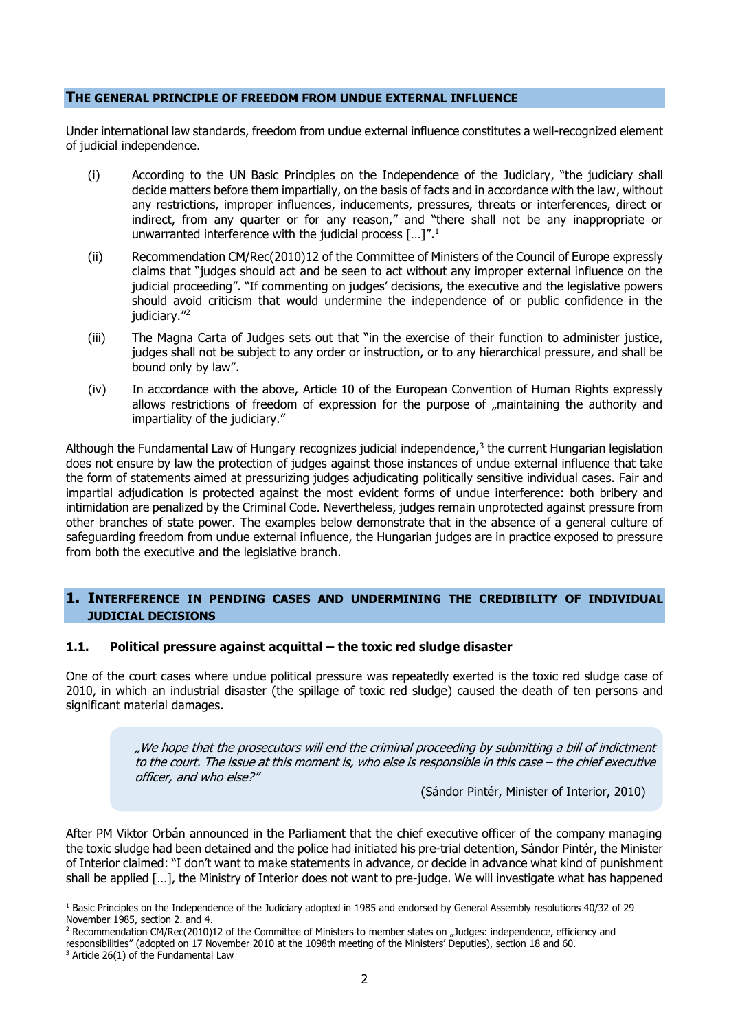#### **THE GENERAL PRINCIPLE OF FREEDOM FROM UNDUE EXTERNAL INFLUENCE**

Under international law standards, freedom from undue external influence constitutes a well-recognized element of judicial independence.

- (i) According to the UN Basic Principles on the Independence of the Judiciary, "the judiciary shall decide matters before them impartially, on the basis of facts and in accordance with the law, without any restrictions, improper influences, inducements, pressures, threats or interferences, direct or indirect, from any quarter or for any reason," and "there shall not be any inappropriate or unwarranted interference with the judicial process  $[...]$ ...<sup>1</sup>
- (ii) Recommendation CM/Rec(2010)12 of the Committee of Ministers of the Council of Europe expressly claims that "judges should act and be seen to act without any improper external influence on the judicial proceeding". "If commenting on judges' decisions, the executive and the legislative powers should avoid criticism that would undermine the independence of or public confidence in the judiciary." 2
- (iii) The Magna Carta of Judges sets out that "in the exercise of their function to administer justice, judges shall not be subject to any order or instruction, or to any hierarchical pressure, and shall be bound only by law".
- (iv) In accordance with the above, Article 10 of the European Convention of Human Rights expressly allows restrictions of freedom of expression for the purpose of "maintaining the authority and impartiality of the judiciary."

Although the Fundamental Law of Hungary recognizes judicial independence,<sup>3</sup> the current Hungarian legislation does not ensure by law the protection of judges against those instances of undue external influence that take the form of statements aimed at pressurizing judges adjudicating politically sensitive individual cases. Fair and impartial adjudication is protected against the most evident forms of undue interference: both bribery and intimidation are penalized by the Criminal Code. Nevertheless, judges remain unprotected against pressure from other branches of state power. The examples below demonstrate that in the absence of a general culture of safeguarding freedom from undue external influence, the Hungarian judges are in practice exposed to pressure from both the executive and the legislative branch.

# **1. INTERFERENCE IN PENDING CASES AND UNDERMINING THE CREDIBILITY OF INDIVIDUAL JUDICIAL DECISIONS**

#### **1.1. Political pressure against acquittal – the toxic red sludge disaster**

One of the court cases where undue political pressure was repeatedly exerted is the toxic red sludge case of 2010, in which an industrial disaster (the spillage of toxic red sludge) caused the death of ten persons and significant material damages.

> "We hope that the prosecutors will end the criminal proceeding by submitting a bill of indictment to the court. The issue at this moment is, who else is responsible in this case – the chief executive officer, and who else?"

> > (Sándor Pintér, Minister of Interior, 2010)

After PM Viktor Orbán announced in the Parliament that the chief executive officer of the company managing the toxic sludge had been detained and the police had initiated his pre-trial detention, Sándor Pintér, the Minister of Interior claimed: "I don't want to make statements in advance, or decide in advance what kind of punishment shall be applied […], the Ministry of Interior does not want to pre-judge. We will investigate what has happened

 $1$  Basic Principles on the Independence of the Judiciary adopted in 1985 and endorsed by General Assembly resolutions 40/32 of 29 November 1985, section 2. and 4.

<sup>&</sup>lt;sup>2</sup> Recommendation CM/Rec(2010)12 of the Committee of Ministers to member states on "Judges: independence, efficiency and responsibilities" (adopted on 17 November 2010 at the 1098th meeting of the Ministers' Deputies), section 18 and 60.

 $3$  Article 26(1) of the Fundamental Law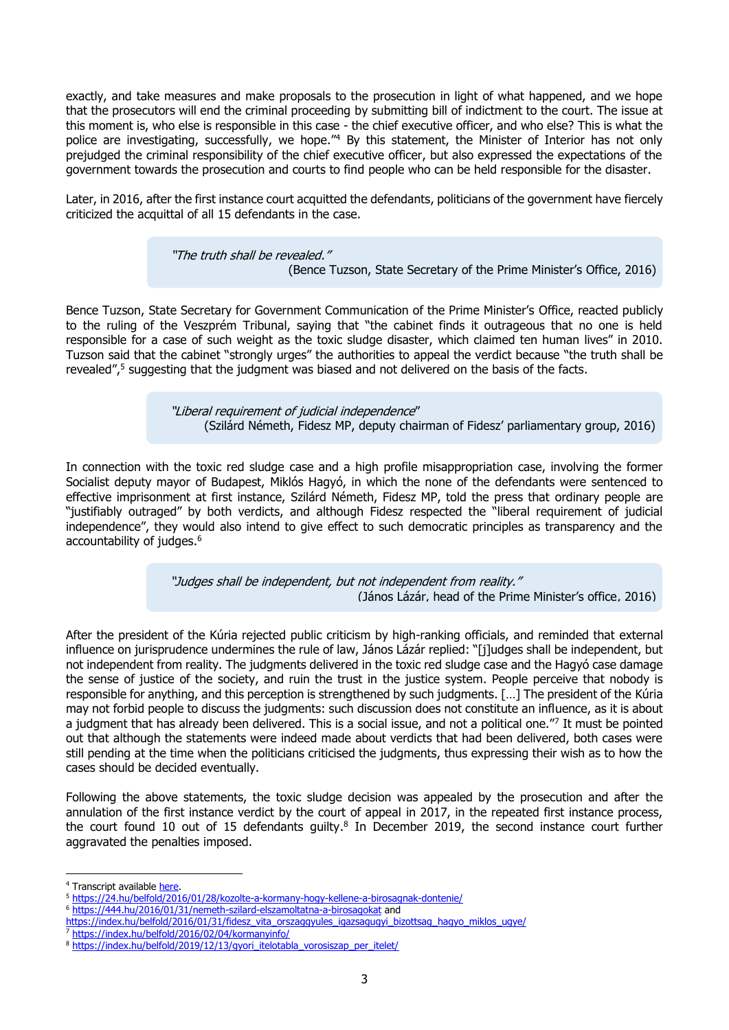exactly, and take measures and make proposals to the prosecution in light of what happened, and we hope that the prosecutors will end the criminal proceeding by submitting bill of indictment to the court. The issue at this moment is, who else is responsible in this case - the chief executive officer, and who else? This is what the police are investigating, successfully, we hope.<sup>"4</sup> By this statement, the Minister of Interior has not only prejudged the criminal responsibility of the chief executive officer, but also expressed the expectations of the government towards the prosecution and courts to find people who can be held responsible for the disaster.

Later, in 2016, after the first instance court acquitted the defendants, politicians of the government have fiercely criticized the acquittal of all 15 defendants in the case.

> "The truth shall be revealed." (Bence Tuzson, State Secretary of the Prime Minister's Office, 2016)

Bence Tuzson, State Secretary for Government Communication of the Prime Minister's Office, reacted publicly to the ruling of the Veszprém Tribunal, saying that "the cabinet finds it outrageous that no one is held responsible for a case of such weight as the toxic sludge disaster, which claimed ten human lives" in 2010. Tuzson said that the cabinet "strongly urges" the authorities to appeal the verdict because "the truth shall be revealed",<sup>5</sup> suggesting that the judgment was biased and not delivered on the basis of the facts.

> "Liberal requirement of judicial independence" (Szilárd Németh, Fidesz MP, deputy chairman of Fidesz' parliamentary group, 2016)

In connection with the toxic red sludge case and a high profile misappropriation case, involving the former Socialist deputy mayor of Budapest, Miklós Hagyó, in which the none of the defendants were sentenced to effective imprisonment at first instance, Szilárd Németh, Fidesz MP, told the press that ordinary people are "justifiably outraged" by both verdicts, and although Fidesz respected the "liberal requirement of judicial independence", they would also intend to give effect to such democratic principles as transparency and the accountability of judges. 6

> "Judges shall be independent, but not independent from reality." (János Lázár, head of the Prime Minister's office, 2016)

After the president of the Kúria rejected public criticism by high-ranking officials, and reminded that external influence on jurisprudence undermines the rule of law, János Lázár replied: "[j]udges shall be independent, but not independent from reality. The judgments delivered in the toxic red sludge case and the Hagyó case damage the sense of justice of the society, and ruin the trust in the justice system. People perceive that nobody is responsible for anything, and this perception is strengthened by such judgments. […] The president of the Kúria may not forbid people to discuss the judgments: such discussion does not constitute an influence, as it is about a judgment that has already been delivered. This is a social issue, and not a political one."7 It must be pointed out that although the statements were indeed made about verdicts that had been delivered, both cases were still pending at the time when the politicians criticised the judgments, thus expressing their wish as to how the cases should be decided eventually.

Following the above statements, the toxic sludge decision was appealed by the prosecution and after the annulation of the first instance verdict by the court of appeal in 2017, in the repeated first instance process, the court found 10 out of 15 defendants guilty. 8 In December 2019, the second instance court further aggravated the penalties imposed.

<sup>4</sup> Transcript available [here.](https://www.parlament.hu/web/guest/orszaggyulesi-naplo-elozo-ciklusbeli-adatai?p_p_id=hu_parlament_cms_pair_portlet_PairProxy_INSTANCE_9xd2Wc9jP4z8&p_p_lifecycle=1&p_p_state=normal&p_p_mode=view&p_auth=ADqZLPb5&_hu_parlament_cms_pair_portlet_PairProxy_INSTANCE_9xd2Wc9jP4z8_pairAction=%2Finternet%2Fcplsql%2Fogy_naplo.naplo_fadat_aktus%3Fp_ckl%3D39%26p_uln%3D33%26p_felsz%3D19%26p_felszig%3D22%26p_aktus%3D4)

<sup>5</sup> <https://24.hu/belfold/2016/01/28/kozolte-a-kormany-hogy-kellene-a-birosagnak-dontenie/>

<sup>6</sup> <https://444.hu/2016/01/31/nemeth-szilard-elszamoltatna-a-birosagokat> and

[https://index.hu/belfold/2016/01/31/fidesz\\_vita\\_orszaggyules\\_igazsagugyi\\_bizottsag\\_hagyo\\_miklos\\_ugye/](https://index.hu/belfold/2016/01/31/fidesz_vita_orszaggyules_igazsagugyi_bizottsag_hagyo_miklos_ugye/)

<sup>7</sup> <https://index.hu/belfold/2016/02/04/kormanyinfo/>

<sup>8</sup> [https://index.hu/belfold/2019/12/13/gyori\\_itelotabla\\_vorosiszap\\_per\\_itelet/](https://index.hu/belfold/2019/12/13/gyori_itelotabla_vorosiszap_per_itelet/)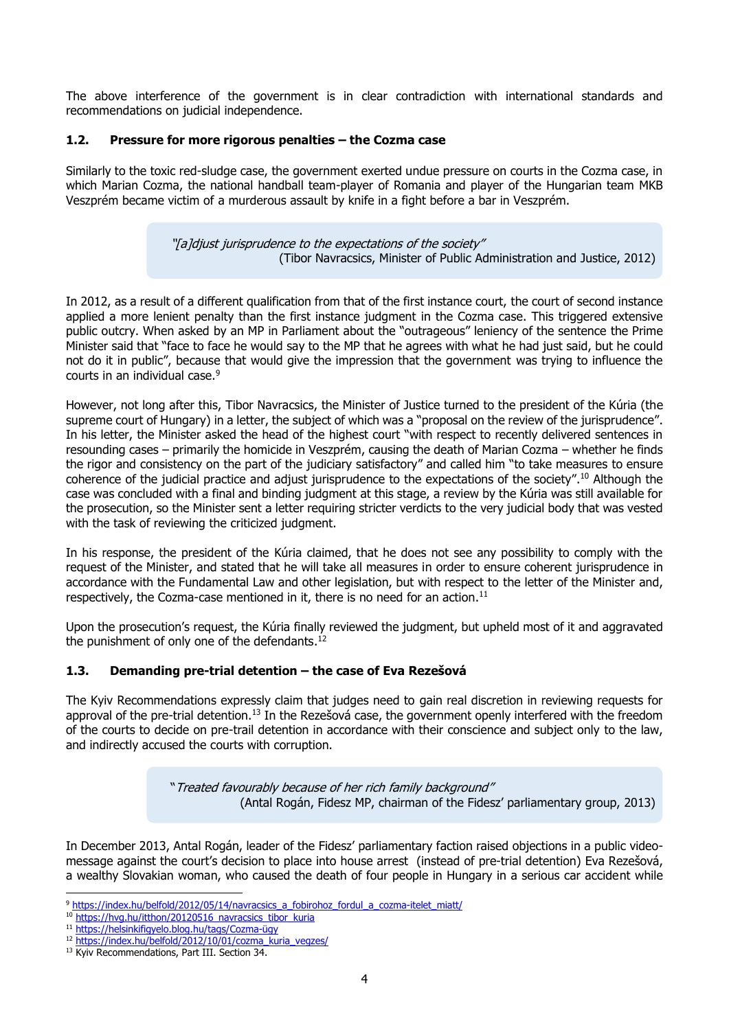The above interference of the government is in clear contradiction with international standards and recommendations on judicial independence.

### **1.2. Pressure for more rigorous penalties – the Cozma case**

Similarly to the toxic red-sludge case, the government exerted undue pressure on courts in the Cozma case, in which Marian Cozma, the national handball team-player of Romania and player of the Hungarian team MKB Veszprém became victim of a murderous assault by knife in a fight before a bar in Veszprém.

> "[a]djust jurisprudence to the expectations of the society" (Tibor Navracsics, Minister of Public Administration and Justice, 2012)

In 2012, as a result of a different qualification from that of the first instance court, the court of second instance applied a more lenient penalty than the first instance judgment in the Cozma case. This triggered extensive public outcry. When asked by an MP in Parliament about the "outrageous" leniency of the sentence the Prime Minister said that "face to face he would say to the MP that he agrees with what he had just said, but he could not do it in public", because that would give the impression that the government was trying to influence the courts in an individual case.<sup>9</sup>

However, not long after this, Tibor Navracsics, the Minister of Justice turned to the president of the Kúria (the supreme court of Hungary) in a letter, the subject of which was a "proposal on the review of the jurisprudence". In his letter, the Minister asked the head of the highest court "with respect to recently delivered sentences in resounding cases – primarily the homicide in Veszprém, causing the death of Marian Cozma – whether he finds the rigor and consistency on the part of the judiciary satisfactory" and called him "to take measures to ensure coherence of the judicial practice and adjust jurisprudence to the expectations of the society". <sup>10</sup> Although the case was concluded with a final and binding judgment at this stage, a review by the Kúria was still available for the prosecution, so the Minister sent a letter requiring stricter verdicts to the very judicial body that was vested with the task of reviewing the criticized judgment.

In his response, the president of the Kúria claimed, that he does not see any possibility to comply with the request of the Minister, and stated that he will take all measures in order to ensure coherent jurisprudence in accordance with the Fundamental Law and other legislation, but with respect to the letter of the Minister and, respectively, the Cozma-case mentioned in it, there is no need for an action.<sup>11</sup>

Upon the prosecution's request, the Kúria finally reviewed the judgment, but upheld most of it and aggravated the punishment of only one of the defendants.<sup>12</sup>

#### **1.3. Demanding pre-trial detention – the case of Eva Rezešová**

The Kyiv Recommendations expressly claim that judges need to gain real discretion in reviewing requests for approval of the pre-trial detention.<sup>13</sup> In the Rezešová case, the government openly interfered with the freedom of the courts to decide on pre-trail detention in accordance with their conscience and subject only to the law, and indirectly accused the courts with corruption.

> "Treated favourably because of her rich family background" (Antal Rogán, Fidesz MP, chairman of the Fidesz' parliamentary group, 2013)

In December 2013, Antal Rogán, leader of the Fidesz' parliamentary faction raised objections in a public videomessage against the court's decision to place into house arrest (instead of pre-trial detention) Eva Rezešová, a wealthy Slovakian woman, who caused the death of four people in Hungary in a serious car accident while

<sup>&</sup>lt;sup>9</sup> [https://index.hu/belfold/2012/05/14/navracsics\\_a\\_fobirohoz\\_fordul\\_a\\_cozma-itelet\\_miatt/](https://index.hu/belfold/2012/05/14/navracsics_a_fobirohoz_fordul_a_cozma-itelet_miatt/)

<sup>&</sup>lt;sup>10</sup> [https://hvg.hu/itthon/20120516\\_navracsics\\_tibor\\_kuria](https://hvg.hu/itthon/20120516_navracsics_tibor_kuria)

<sup>11</sup> [https://helsinkifigyelo.blog.hu/tags/Cozma-](https://helsinkifigyelo.blog.hu/tags/Cozma-ügy)ügy

<sup>&</sup>lt;sup>12</sup> [https://index.hu/belfold/2012/10/01/cozma\\_kuria\\_vegzes/](https://index.hu/belfold/2012/10/01/cozma_kuria_vegzes/)

<sup>&</sup>lt;sup>13</sup> Kyiv Recommendations, Part III. Section 34.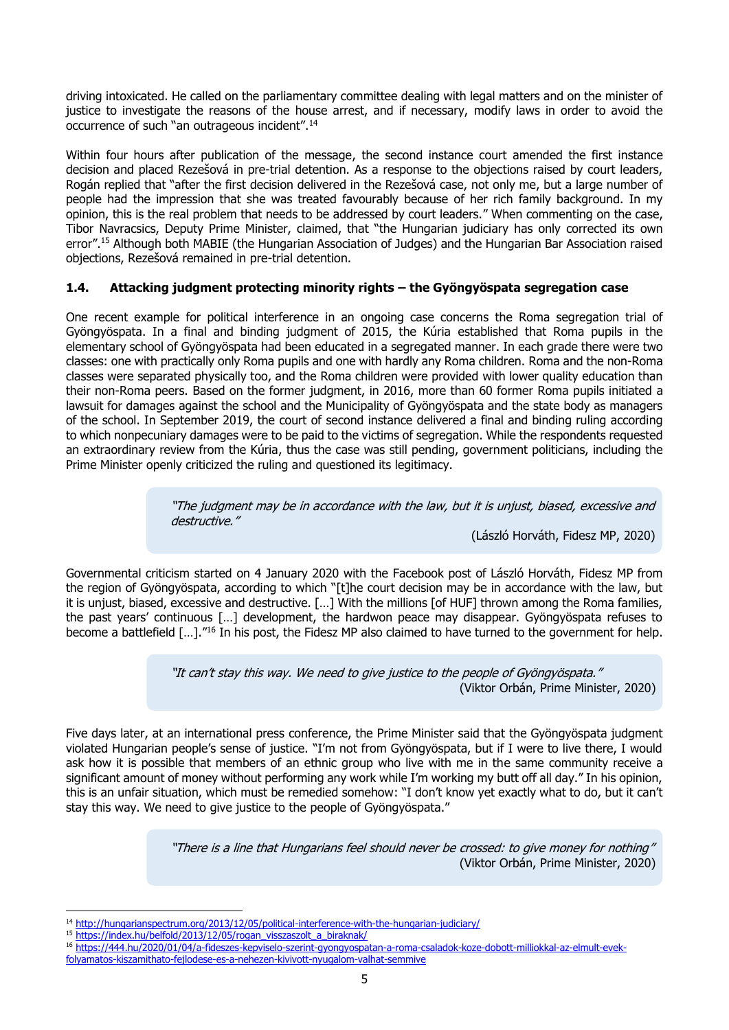driving intoxicated. He called on the parliamentary committee dealing with legal matters and on the minister of justice to investigate the reasons of the house arrest, and if necessary, modify laws in order to avoid the occurrence of such "an outrageous incident".<sup>14</sup>

Within four hours after publication of the message, the second instance court amended the first instance decision and placed Rezešová in pre-trial detention. As a response to the objections raised by court leaders, Rogán replied that "after the first decision delivered in the Rezešová case, not only me, but a large number of people had the impression that she was treated favourably because of her rich family background. In my opinion, this is the real problem that needs to be addressed by court leaders." When commenting on the case, Tibor Navracsics, Deputy Prime Minister, claimed, that "the Hungarian judiciary has only corrected its own error". <sup>15</sup> Although both MABIE (the Hungarian Association of Judges) and the Hungarian Bar Association raised objections, Rezešová remained in pre-trial detention.

# **1.4. Attacking judgment protecting minority rights – the Gyöngyöspata segregation case**

One recent example for political interference in an ongoing case concerns the Roma segregation trial of Gyöngyöspata. In a final and binding judgment of 2015, the Kúria established that Roma pupils in the elementary school of Gyöngyöspata had been educated in a segregated manner. In each grade there were two classes: one with practically only Roma pupils and one with hardly any Roma children. Roma and the non-Roma classes were separated physically too, and the Roma children were provided with lower quality education than their non-Roma peers. Based on the former judgment, in 2016, more than 60 former Roma pupils initiated a lawsuit for damages against the school and the Municipality of Gyöngyöspata and the state body as managers of the school. In September 2019, the court of second instance delivered a final and binding ruling according to which nonpecuniary damages were to be paid to the victims of segregation. While the respondents requested an extraordinary review from the Kúria, thus the case was still pending, government politicians, including the Prime Minister openly criticized the ruling and questioned its legitimacy.

> "The judgment may be in accordance with the law, but it is unjust, biased, excessive and destructive."

(László Horváth, Fidesz MP, 2020)

Governmental criticism started on 4 January 2020 with the Facebook post of László Horváth, Fidesz MP from the region of Gyöngyöspata, according to which "[t]he court decision may be in accordance with the law, but it is unjust, biased, excessive and destructive. […] With the millions [of HUF] thrown among the Roma families, the past years' continuous […] development, the hardwon peace may disappear. Gyöngyöspata refuses to become a battlefield [...]."<sup>16</sup> In his post, the Fidesz MP also claimed to have turned to the government for help.

> "It can't stay this way. We need to give justice to the people of Gyöngyöspata." (Viktor Orbán, Prime Minister, 2020)

Five days later, at an international press conference, the Prime Minister said that the Gyöngyöspata judgment violated Hungarian people's sense of justice. "I'm not from Gyöngyöspata, but if I were to live there, I would ask how it is possible that members of an ethnic group who live with me in the same community receive a significant amount of money without performing any work while I'm working my butt off all day." In his opinion, this is an unfair situation, which must be remedied somehow: "I don't know yet exactly what to do, but it can't stay this way. We need to give justice to the people of Gyöngyöspata."

> "There is a line that Hungarians feel should never be crossed: to give money for nothing" (Viktor Orbán, Prime Minister, 2020)

<sup>16</sup> [https://444.hu/2020/01/04/a-fideszes-kepviselo-szerint-gyongyospatan-a-roma-csaladok-koze-dobott-milliokkal-az-elmult-evek](https://444.hu/2020/01/04/a-fideszes-kepviselo-szerint-gyongyospatan-a-roma-csaladok-koze-dobott-milliokkal-az-elmult-evek-folyamatos-kiszamithato-fejlodese-es-a-nehezen-kivivott-nyugalom-valhat-semmive)[folyamatos-kiszamithato-fejlodese-es-a-nehezen-kivivott-nyugalom-valhat-semmive](https://444.hu/2020/01/04/a-fideszes-kepviselo-szerint-gyongyospatan-a-roma-csaladok-koze-dobott-milliokkal-az-elmult-evek-folyamatos-kiszamithato-fejlodese-es-a-nehezen-kivivott-nyugalom-valhat-semmive)

<sup>14</sup> <http://hungarianspectrum.org/2013/12/05/political-interference-with-the-hungarian-judiciary/>

<sup>15</sup> [https://index.hu/belfold/2013/12/05/rogan\\_visszaszolt\\_a\\_biraknak/](https://index.hu/belfold/2013/12/05/rogan_visszaszolt_a_biraknak/)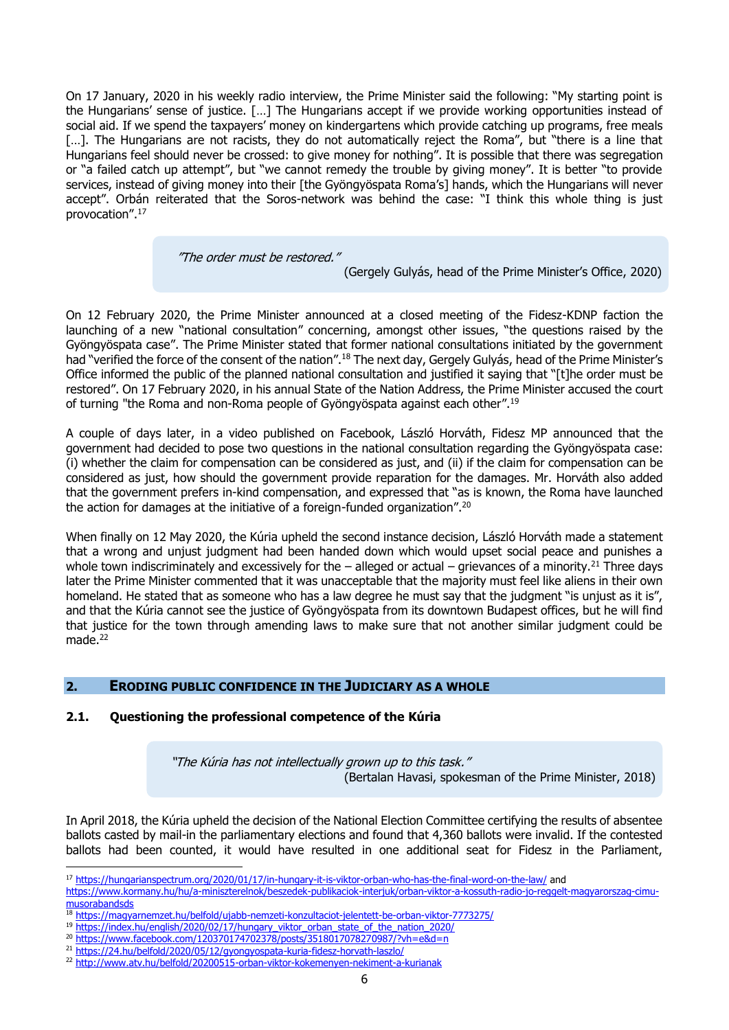On 17 January, 2020 in his weekly radio interview, the Prime Minister said the following: "My starting point is the Hungarians' sense of justice. […] The Hungarians accept if we provide working opportunities instead of social aid. If we spend the taxpayers' money on kindergartens which provide catching up programs, free meals [...]. The Hungarians are not racists, they do not automatically reject the Roma", but "there is a line that Hungarians feel should never be crossed: to give money for nothing". It is possible that there was segregation or "a failed catch up attempt", but "we cannot remedy the trouble by giving money". It is better "to provide services, instead of giving money into their [the Gyöngyöspata Roma's] hands, which the Hungarians will never accept". Orbán reiterated that the Soros-network was behind the case: "I think this whole thing is just provocation". 17

"The order must be restored."

(Gergely Gulyás, head of the Prime Minister's Office, 2020)

On 12 February 2020, the Prime Minister announced at a closed meeting of the Fidesz-KDNP faction the launching of a new "national consultation" concerning, amongst other issues, "the questions raised by the Gyöngyöspata case". The Prime Minister stated that former national consultations initiated by the government had "verified the force of the consent of the nation".<sup>18</sup> The next day, Gergely Gulyás, head of the Prime Minister's Office informed the public of the planned national consultation and justified it saying that "[t]he order must be restored". On 17 February 2020, in his annual State of the Nation Address, the Prime Minister accused the court of turning "the Roma and non-Roma people of Gyöngyöspata against each other".<sup>19</sup>

A couple of days later, in a video published on Facebook, László Horváth, Fidesz MP announced that the government had decided to pose two questions in the national consultation regarding the Gyöngyöspata case: (i) whether the claim for compensation can be considered as just, and (ii) if the claim for compensation can be considered as just, how should the government provide reparation for the damages. Mr. Horváth also added that the government prefers in-kind compensation, and expressed that "as is known, the Roma have launched the action for damages at the initiative of a foreign-funded organization".<sup>20</sup>

When finally on 12 May 2020, the Kúria upheld the second instance decision, László Horváth made a statement that a wrong and unjust judgment had been handed down which would upset social peace and punishes a whole town indiscriminately and excessively for the  $-$  alleged or actual  $-$  grievances of a minority.<sup>21</sup> Three days later the Prime Minister commented that it was unacceptable that the majority must feel like aliens in their own homeland. He stated that as someone who has a law degree he must say that the judgment "is unjust as it is", and that the Kúria cannot see the justice of Gyöngyöspata from its downtown Budapest offices, but he will find that justice for the town through amending laws to make sure that not another similar judgment could be made<sup>22</sup>

# **2. ERODING PUBLIC CONFIDENCE IN THE JUDICIARY AS A WHOLE**

#### **2.1. Questioning the professional competence of the Kúria**

"The Kúria has not intellectually grown up to this task." (Bertalan Havasi, spokesman of the Prime Minister, 2018)

In April 2018, the Kúria upheld the decision of the National Election Committee certifying the results of absentee ballots casted by mail-in the parliamentary elections and found that 4,360 ballots were invalid. If the contested ballots had been counted, it would have resulted in one additional seat for Fidesz in the Parliament,

<sup>17</sup> <https://hungarianspectrum.org/2020/01/17/in-hungary-it-is-viktor-orban-who-has-the-final-word-on-the-law/> and [https://www.kormany.hu/hu/a-miniszterelnok/beszedek-publikaciok-interjuk/orban-viktor-a-kossuth-radio-jo-reggelt-magyarorszag-cimu](https://www.kormany.hu/hu/a-miniszterelnok/beszedek-publikaciok-interjuk/orban-viktor-a-kossuth-radio-jo-reggelt-magyarorszag-cimu-musorabandsds)[musorabandsds](https://www.kormany.hu/hu/a-miniszterelnok/beszedek-publikaciok-interjuk/orban-viktor-a-kossuth-radio-jo-reggelt-magyarorszag-cimu-musorabandsds)

<sup>18</sup> <https://magyarnemzet.hu/belfold/ujabb-nemzeti-konzultaciot-jelentett-be-orban-viktor-7773275/>

<sup>&</sup>lt;sup>19</sup> [https://index.hu/english/2020/02/17/hungary\\_viktor\\_orban\\_state\\_of\\_the\\_nation\\_2020/](https://index.hu/english/2020/02/17/hungary_viktor_orban_state_of_the_nation_2020/)

<sup>20</sup> <https://www.facebook.com/120370174702378/posts/3518017078270987/?vh=e&d=n>

<sup>21</sup> <https://24.hu/belfold/2020/05/12/gyongyospata-kuria-fidesz-horvath-laszlo/>

<sup>22</sup> <http://www.atv.hu/belfold/20200515-orban-viktor-kokemenyen-nekiment-a-kurianak>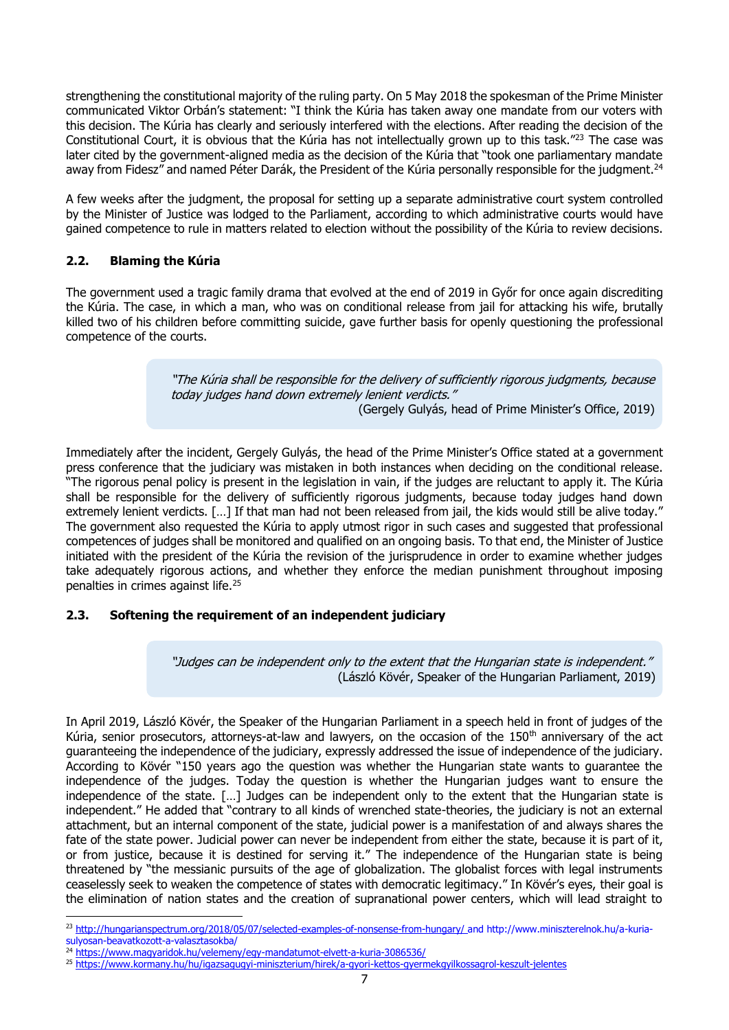strengthening the constitutional majority of the ruling party. On 5 May 2018 the spokesman of the Prime Minister communicated Viktor Orbán's statement: "I think the Kúria has taken away one mandate from our voters with this decision. The Kúria has clearly and seriously interfered with the elections. After reading the decision of the Constitutional Court, it is obvious that the Kúria has not intellectually grown up to this task."<sup>23</sup> The case was later cited by the government-aligned media as the decision of the Kúria that "took one parliamentary mandate away from Fidesz" and named Péter Darák, the President of the Kúria personally responsible for the judgment.<sup>24</sup>

A few weeks after the judgment, the proposal for setting up a separate administrative court system controlled by the Minister of Justice was lodged to the Parliament, according to which administrative courts would have gained competence to rule in matters related to election without the possibility of the Kúria to review decisions.

### **2.2. Blaming the Kúria**

The government used a tragic family drama that evolved at the end of 2019 in Győr for once again discrediting the Kúria. The case, in which a man, who was on conditional release from jail for attacking his wife, brutally killed two of his children before committing suicide, gave further basis for openly questioning the professional competence of the courts.

> "The Kúria shall be responsible for the delivery of sufficiently rigorous judgments, because today judges hand down extremely lenient verdicts." (Gergely Gulyás, head of Prime Minister's Office, 2019)

Immediately after the incident, Gergely Gulyás, the head of the Prime Minister's Office stated at a government press conference that the judiciary was mistaken in both instances when deciding on the conditional release. "The rigorous penal policy is present in the legislation in vain, if the judges are reluctant to apply it. The Kúria shall be responsible for the delivery of sufficiently rigorous judgments, because today judges hand down extremely lenient verdicts. […] If that man had not been released from jail, the kids would still be alive today." The government also requested the Kúria to apply utmost rigor in such cases and suggested that professional competences of judges shall be monitored and qualified on an ongoing basis. To that end, the Minister of Justice initiated with the president of the Kúria the revision of the jurisprudence in order to examine whether judges take adequately rigorous actions, and whether they enforce the median punishment throughout imposing penalties in crimes against life. 25

# **2.3. Softening the requirement of an independent judiciary**

"Judges can be independent only to the extent that the Hungarian state is independent." (László Kövér, Speaker of the Hungarian Parliament, 2019)

In April 2019, László Kövér, the Speaker of the Hungarian Parliament in a speech held in front of judges of the Kúria, senior prosecutors, attorneys-at-law and lawyers, on the occasion of the 150<sup>th</sup> anniversary of the act guaranteeing the independence of the judiciary, expressly addressed the issue of independence of the judiciary. According to Kövér "150 years ago the question was whether the Hungarian state wants to guarantee the independence of the judges. Today the question is whether the Hungarian judges want to ensure the independence of the state. […] Judges can be independent only to the extent that the Hungarian state is independent." He added that "contrary to all kinds of wrenched state-theories, the judiciary is not an external attachment, but an internal component of the state, judicial power is a manifestation of and always shares the fate of the state power. Judicial power can never be independent from either the state, because it is part of it, or from justice, because it is destined for serving it." The independence of the Hungarian state is being threatened by "the messianic pursuits of the age of globalization. The globalist forces with legal instruments ceaselessly seek to weaken the competence of states with democratic legitimacy." In Kövér's eyes, their goal is the elimination of nation states and the creation of supranational power centers, which will lead straight to

sulyosan-beavatkozott-a-valasztasokba/

<sup>&</sup>lt;sup>23</sup> <http://hungarianspectrum.org/2018/05/07/selected-examples-of-nonsense-from-hungary/> and http://www.miniszterelnok.hu/a-kuria-

<sup>&</sup>lt;sup>24</sup> <https://www.magyaridok.hu/velemeny/egy-mandatumot-elvett-a-kuria-3086536/> <sup>25</sup> <https://www.kormany.hu/hu/igazsagugyi-miniszterium/hirek/a-gyori-kettos-gyermekgyilkossagrol-keszult-jelentes>